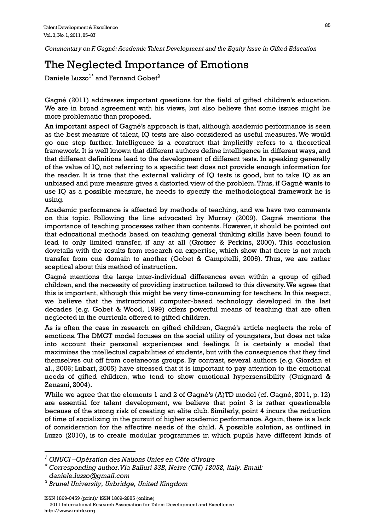*Commentary on F. Gagné: Academic Talent Development and the Equity Issue in Gifted Education* 

## The Neglected Importance of Emotions

Daniele Luzzo<sup>1\*</sup> and Fernand Gobet<sup>2</sup>

Gagné (2011) addresses important questions for the field of gifted children's education. We are in broad agreement with his views, but also believe that some issues might be more problematic than proposed.

An important aspect of Gagné's approach is that, although academic performance is seen as the best measure of talent, IQ tests are also considered as useful measures. We would go one step further. Intelligence is a construct that implicitly refers to a theoretical framework. It is well known that different authors define intelligence in different ways, and that different definitions lead to the development of different tests. In speaking generally of the value of IQ, not referring to a specific test does not provide enough information for the reader. It is true that the external validity of IQ tests is good, but to take IQ as an unbiased and pure measure gives a distorted view of the problem. Thus, if Gagné wants to use IQ as a possible measure, he needs to specify the methodological framework he is using.

Academic performance is affected by methods of teaching, and we have two comments on this topic. Following the line advocated by Murray (2009), Gagné mentions the importance of teaching processes rather than contents. However, it should be pointed out that educational methods based on teaching general thinking skills have been found to lead to only limited transfer, if any at all (Grotzer & Perkins, 2000). This conclusion dovetails with the results from research on expertise, which show that there is not much transfer from one domain to another (Gobet & Campitelli, 2006). Thus, we are rather sceptical about this method of instruction.

Gagné mentions the large inter-individual differences even within a group of gifted children, and the necessity of providing instruction tailored to this diversity. We agree that this is important, although this might be very time-consuming for teachers. In this respect, we believe that the instructional computer-based technology developed in the last decades (e.g. Gobet & Wood, 1999) offers powerful means of teaching that are often neglected in the curricula offered to gifted children.

As is often the case in research on gifted children, Gagné's article neglects the role of emotions. The DMGT model focuses on the social utility of youngsters, but does not take into account their personal experiences and feelings. It is certainly a model that maximizes the intellectual capabilities of students, but with the consequence that they find themselves cut off from coetaneous groups. By contrast, several authors (e.g. Giordan et al., 2006; Lubart, 2005) have stressed that it is important to pay attention to the emotional needs of gifted children, who tend to show emotional hypersensibility (Guignard & Zenasni, 2004).

While we agree that the elements 1 and 2 of Gagné's (A)TD model (cf. Gagné, 2011, p. 12) are essential for talent development, we believe that point 3 is rather questionable because of the strong risk of creating an elite club. Similarly, point 4 incurs the reduction of time of socializing in the pursuit of higher academic performance. Again, there is a lack of consideration for the affective needs of the child. A possible solution, as outlined in Luzzo (2010), is to create modular programmes in which pupils have different kinds of

 $\overline{a}$ 

*<sup>1</sup> ONUCI –Opération des Nations Unies en Côte d*'*Ivoire* 

*<sup>\*</sup> Corresponding author.Via Balluri 33B, Neive (CN) 12052, Italy. Email: daniele.luzzo@gmail.com* 

*<sup>2</sup> Brunel University, Uxbridge, United Kingdom*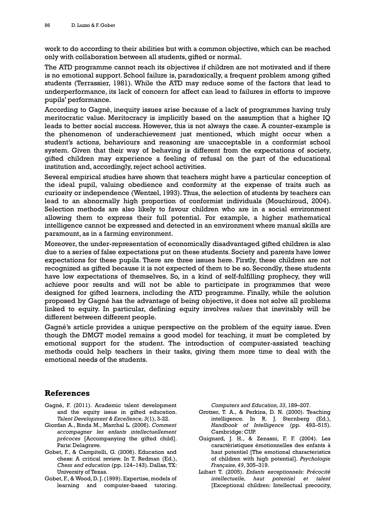work to do according to their abilities but with a common objective, which can be reached only with collaboration between all students, gifted or normal.

The ATD programme cannot reach its objectives if children are not motivated and if there is no emotional support. School failure is, paradoxically, a frequent problem among gifted students (Terrassier, 1981). While the ATD may reduce some of the factors that lead to underperformance, its lack of concern for affect can lead to failures in efforts to improve pupils' performance.

According to Gagné, inequity issues arise because of a lack of programmes having truly meritocratic value. Meritocracy is implicitly based on the assumption that a higher IQ leads to better social success. However, this is not always the case. A counter-example is the phenomenon of underachievement just mentioned, which might occur when a student's actions, behaviours and reasoning are unacceptable in a conformist school system. Given that their way of behaving is different from the expectations of society, gifted children may experience a feeling of refusal on the part of the educational institution and, accordingly, reject school activities.

Several empirical studies have shown that teachers might have a particular conception of the ideal pupil, valuing obedience and conformity at the expense of traits such as curiosity or independence (Wentzel, 1993). Thus, the selection of students by teachers can lead to an abnormally high proportion of conformist individuals (Mouchiroud, 2004). Selection methods are also likely to favour children who are in a social environment allowing them to express their full potential. For example, a higher mathematical intelligence cannot be expressed and detected in an environment where manual skills are paramount, as in a farming environment.

Moreover, the under-representation of economically disadvantaged gifted children is also due to a series of false expectations put on these students. Society and parents have lower expectations for these pupils. There are three issues here. Firstly, these children are not recognized as gifted because it is not expected of them to be so. Secondly, these students have low expectations of themselves. So, in a kind of self-fulfilling prophecy, they will achieve poor results and will not be able to participate in programmes that were designed for gifted learners, including the ATD programme. Finally, while the solution proposed by Gagné has the advantage of being objective, it does not solve all problems linked to equity. In particular, defining equity involves *values* that inevitably will be different between different people.

Gagné's article provides a unique perspective on the problem of the equity issue. Even though the DMGT model remains a good model for teaching, it must be completed by emotional support for the student. The introduction of computer-assisted teaching methods could help teachers in their tasks, giving them more time to deal with the emotional needs of the students.

## **References**

- Gagné, F. (2011). Academic talent development and the equity issue in gifted education. *Talent Development & Excellence, 3*(1), 3-22.
- Giordan A., Binda M., Marchal L. (2006). *Comment accompagner les enfants intellectuellement précoces* [Accompanying the gifted child]. Paris: Delagrave.
- Gobet, F., & Campitelli, G. (2006). Education and chess: A critical review. In T. Redman (Ed.), *Chess and education* (pp. 124–143). Dallas, TX: University of Texas.
- Gobet, F., & Wood, D. J. (1999). Expertise, models of learning and computer-based tutoring.

*Computers and Education, 33*, 189–207.

- Grotzer, T. A., & Perkins, D. N. (2000). Teaching intelligence. In R. J. Sternberg (Ed.), *Handbook of Intelligence* (pp. 492–515). Cambridge: CUP.
- Guignard, J. H., & Zenasni, F. F. (2004). Les caractéristiques émotionnelles des enfants à haut potentiel [The emotional characteristics of children with high potential]. *Psychologie Française, 49*, 305–319.
- Lubart T. (2005). *Enfants exceptionnels: Précocité intellectuelle, haut potentiel et talent* [Exceptional children: Intellectual precocity,